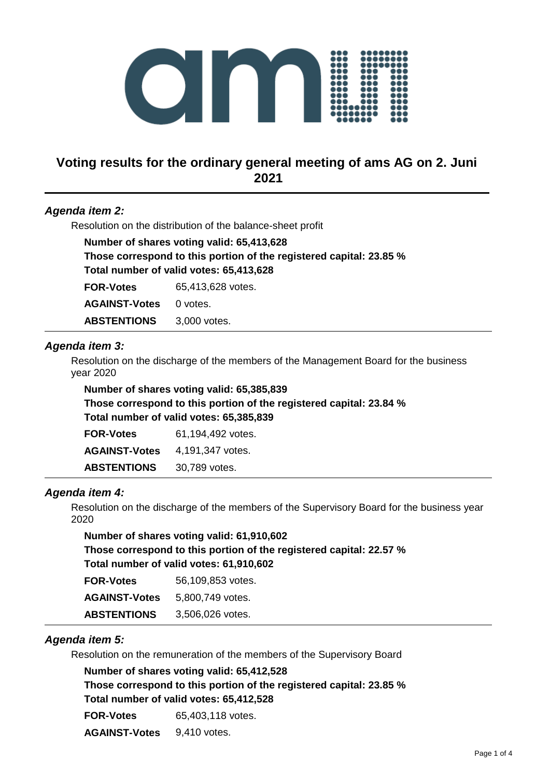

# **Voting results for the ordinary general meeting of ams AG on 2. Juni 2021**

## *Agenda item 2:*

Resolution on the distribution of the balance-sheet profit

**Number of shares voting valid: 65,413,628 Those correspond to this portion of the registered capital: 23.85 % Total number of valid votes: 65,413,628 FOR-Votes** 65,413,628 votes. AGAINST-Votes 0 votes. **ABSTENTIONS** 3,000 votes.

#### *Agenda item 3:*

Resolution on the discharge of the members of the Management Board for the business year 2020

**Number of shares voting valid: 65,385,839 Those correspond to this portion of the registered capital: 23.84 % Total number of valid votes: 65,385,839**

| <b>FOR-Votes</b>     | 61.194.492 votes. |
|----------------------|-------------------|
| <b>AGAINST-Votes</b> | 4,191,347 votes.  |
| <b>ABSTENTIONS</b>   | 30,789 votes.     |

#### *Agenda item 4:*

Resolution on the discharge of the members of the Supervisory Board for the business year 2020

**Number of shares voting valid: 61,910,602 Those correspond to this portion of the registered capital: 22.57 % Total number of valid votes: 61,910,602**

| <b>FOR-Votes</b>     | 56,109,853 votes. |
|----------------------|-------------------|
| <b>AGAINST-Votes</b> | 5,800,749 votes.  |
| <b>ABSTENTIONS</b>   | 3,506,026 votes.  |

#### *Agenda item 5:*

Resolution on the remuneration of the members of the Supervisory Board

**Number of shares voting valid: 65,412,528 Those correspond to this portion of the registered capital: 23.85 % Total number of valid votes: 65,412,528 FOR-Votes** 65,403,118 votes. **AGAINST-Votes** 9,410 votes.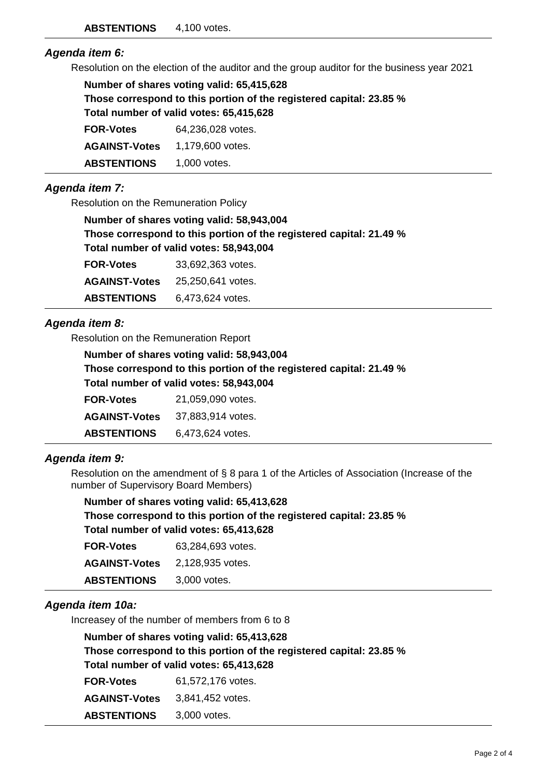#### *Agenda item 6:*

Resolution on the election of the auditor and the group auditor for the business year 2021

| Number of shares voting valid: 65,415,628                           |                   |  |
|---------------------------------------------------------------------|-------------------|--|
| Those correspond to this portion of the registered capital: 23.85 % |                   |  |
| Total number of valid votes: 65,415,628                             |                   |  |
| <b>FOR-Votes</b>                                                    | 64,236,028 votes. |  |
| <b>AGAINST-Votes</b>                                                | 1,179,600 votes.  |  |
| <b>ABSTENTIONS</b>                                                  | 1,000 votes.      |  |

# *Agenda item 7:*

Resolution on the Remuneration Policy

| Number of shares voting valid: 58,943,004                           |
|---------------------------------------------------------------------|
| Those correspond to this portion of the registered capital: 21.49 % |
| Total number of valid votes: 58,943,004                             |

| <b>FOR-Votes</b>     | 33,692,363 votes. |
|----------------------|-------------------|
| <b>AGAINST-Votes</b> | 25,250,641 votes. |
| <b>ABSTENTIONS</b>   | 6,473,624 votes.  |

# *Agenda item 8:*

Resolution on the Remuneration Report

| Number of shares voting valid: 58,943,004                           |                   |  |
|---------------------------------------------------------------------|-------------------|--|
| Those correspond to this portion of the registered capital: 21.49 % |                   |  |
| Total number of valid votes: 58,943,004                             |                   |  |
| <b>FOR-Votes</b>                                                    | 21,059,090 votes. |  |
| <b>AGAINST-Votes</b>                                                | 37,883,914 votes. |  |
| <b>ABSTENTIONS</b>                                                  | 6,473,624 votes.  |  |

## *Agenda item 9:*

Resolution on the amendment of § 8 para 1 of the Articles of Association (Increase of the number of Supervisory Board Members)

| Number of shares voting valid: 65,413,628                           |
|---------------------------------------------------------------------|
| Those correspond to this portion of the registered capital: 23.85 % |
| Total number of valid votes: 65,413,628                             |

| <b>FOR-Votes</b>     | 63.284.693 votes. |
|----------------------|-------------------|
| <b>AGAINST-Votes</b> | 2,128,935 votes.  |
| <b>ABSTENTIONS</b>   | 3,000 votes.      |

## *Agenda item 10a:*

Increasey of the number of members from 6 to 8

|                                         | Number of shares voting valid: 65,413,628                           |
|-----------------------------------------|---------------------------------------------------------------------|
|                                         | Those correspond to this portion of the registered capital: 23.85 % |
| Total number of valid votes: 65,413,628 |                                                                     |
| <b>FOR-Votes</b>                        | 61,572,176 votes.                                                   |
| <b>AGAINST-Votes</b>                    | 3,841,452 votes.                                                    |
| <b>ABSTENTIONS</b>                      | 3,000 votes.                                                        |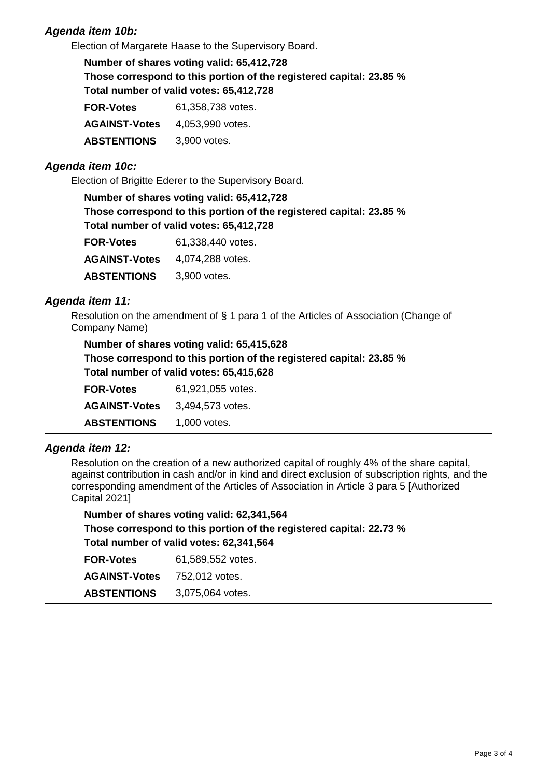# *Agenda item 10b:*

Election of Margarete Haase to the Supervisory Board.

| Number of shares voting valid: 65,412,728<br>Those correspond to this portion of the registered capital: 23.85 %<br>Total number of valid votes: 65,412,728 |                   |  |
|-------------------------------------------------------------------------------------------------------------------------------------------------------------|-------------------|--|
| <b>FOR-Votes</b>                                                                                                                                            | 61,358,738 votes. |  |
| <b>AGAINST-Votes</b>                                                                                                                                        | 4,053,990 votes.  |  |
| <b>ABSTENTIONS</b>                                                                                                                                          | 3,900 votes.      |  |

#### *Agenda item 10c:*

Election of Brigitte Ederer to the Supervisory Board.

| Number of shares voting valid: 65,412,728                              |
|------------------------------------------------------------------------|
| Those correspond to this portion of the registered capital: 23.85 $\%$ |
| Total number of valid votes: 65,412,728                                |

| <b>FOR-Votes</b>     | 61,338,440 votes. |
|----------------------|-------------------|
| <b>AGAINST-Votes</b> | 4,074,288 votes.  |
| <b>ABSTENTIONS</b>   | 3,900 votes.      |

## *Agenda item 11:*

Resolution on the amendment of § 1 para 1 of the Articles of Association (Change of Company Name)

**Number of shares voting valid: 65,415,628 Those correspond to this portion of the registered capital: 23.85 % Total number of valid votes: 65,415,628**

| <b>FOR-Votes</b>     | 61,921,055 votes. |
|----------------------|-------------------|
| <b>AGAINST-Votes</b> | 3,494,573 votes.  |
| <b>ABSTENTIONS</b>   | 1,000 votes.      |

## *Agenda item 12:*

Resolution on the creation of a new authorized capital of roughly 4% of the share capital, against contribution in cash and/or in kind and direct exclusion of subscription rights, and the corresponding amendment of the Articles of Association in Article 3 para 5 [Authorized Capital 2021]

**Number of shares voting valid: 62,341,564 Those correspond to this portion of the registered capital: 22.73 % Total number of valid votes: 62,341,564 FOR-Votes** 61,589,552 votes. **AGAINST-Votes** 752,012 votes. **ABSTENTIONS** 3,075,064 votes.